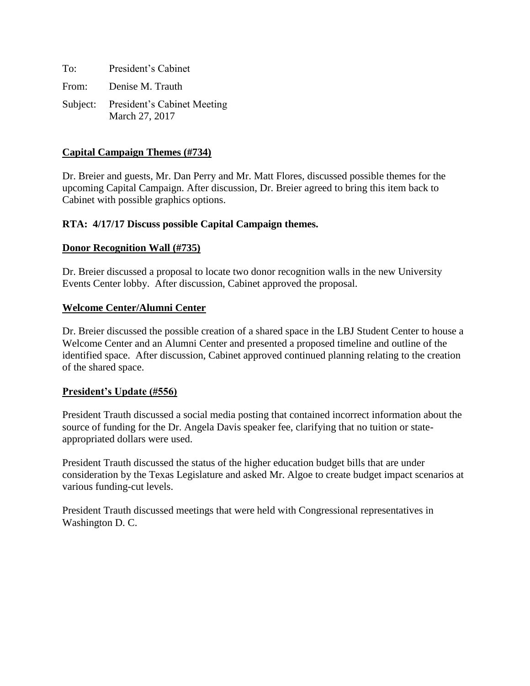To: President's Cabinet From: Denise M. Trauth Subject: President's Cabinet Meeting March 27, 2017

# **Capital Campaign Themes (#734)**

Dr. Breier and guests, Mr. Dan Perry and Mr. Matt Flores, discussed possible themes for the upcoming Capital Campaign. After discussion, Dr. Breier agreed to bring this item back to Cabinet with possible graphics options.

# **RTA: 4/17/17 Discuss possible Capital Campaign themes.**

#### **Donor Recognition Wall (#735)**

Dr. Breier discussed a proposal to locate two donor recognition walls in the new University Events Center lobby. After discussion, Cabinet approved the proposal.

#### **Welcome Center/Alumni Center**

Dr. Breier discussed the possible creation of a shared space in the LBJ Student Center to house a Welcome Center and an Alumni Center and presented a proposed timeline and outline of the identified space. After discussion, Cabinet approved continued planning relating to the creation of the shared space.

#### **President's Update (#556)**

President Trauth discussed a social media posting that contained incorrect information about the source of funding for the Dr. Angela Davis speaker fee, clarifying that no tuition or stateappropriated dollars were used.

President Trauth discussed the status of the higher education budget bills that are under consideration by the Texas Legislature and asked Mr. Algoe to create budget impact scenarios at various funding-cut levels.

President Trauth discussed meetings that were held with Congressional representatives in Washington D. C.